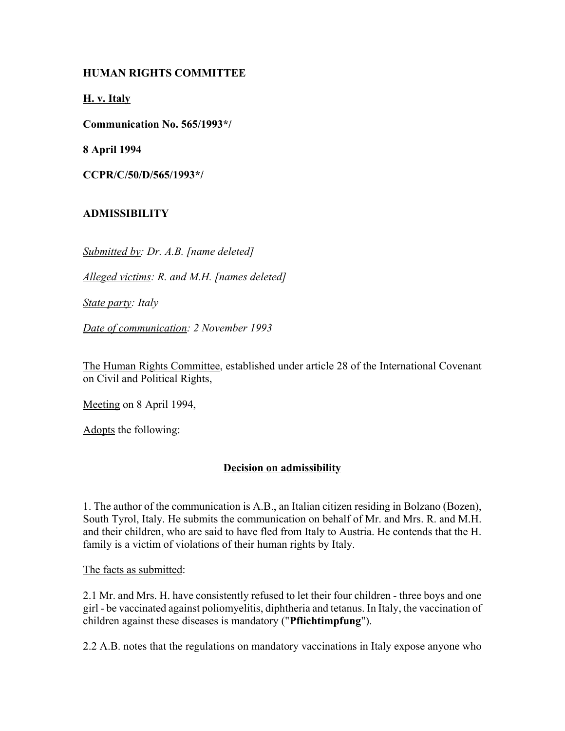## **HUMAN RIGHTS COMMITTEE**

**H. v. Italy**

**Communication No. 565/1993\*/**

**8 April 1994**

**CCPR/C/50/D/565/1993\*/**

# **ADMISSIBILITY**

*Submitted by: Dr. A.B. [name deleted]*

*Alleged victims: R. and M.H. [names deleted]*

*State party: Italy*

*Date of communication: 2 November 1993*

The Human Rights Committee, established under article 28 of the International Covenant on Civil and Political Rights,

Meeting on 8 April 1994,

Adopts the following:

## **Decision on admissibility**

1. The author of the communication is A.B., an Italian citizen residing in Bolzano (Bozen), South Tyrol, Italy. He submits the communication on behalf of Mr. and Mrs. R. and M.H. and their children, who are said to have fled from Italy to Austria. He contends that the H. family is a victim of violations of their human rights by Italy.

The facts as submitted:

2.1 Mr. and Mrs. H. have consistently refused to let their four children - three boys and one girl - be vaccinated against poliomyelitis, diphtheria and tetanus. In Italy, the vaccination of children against these diseases is mandatory ("**Pflichtimpfung**").

2.2 A.B. notes that the regulations on mandatory vaccinations in Italy expose anyone who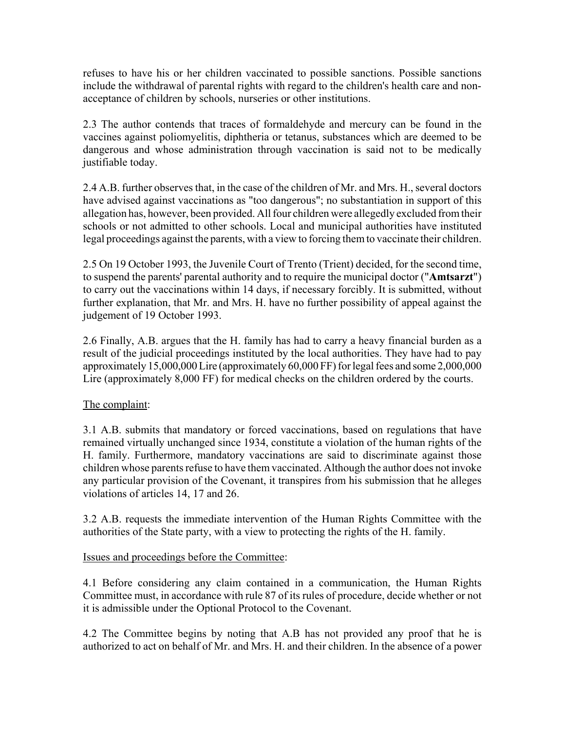refuses to have his or her children vaccinated to possible sanctions. Possible sanctions include the withdrawal of parental rights with regard to the children's health care and nonacceptance of children by schools, nurseries or other institutions.

2.3 The author contends that traces of formaldehyde and mercury can be found in the vaccines against poliomyelitis, diphtheria or tetanus, substances which are deemed to be dangerous and whose administration through vaccination is said not to be medically justifiable today.

2.4 A.B. further observes that, in the case of the children of Mr. and Mrs. H., several doctors have advised against vaccinations as "too dangerous"; no substantiation in support of this allegation has, however, been provided. All four children were allegedly excluded from their schools or not admitted to other schools. Local and municipal authorities have instituted legal proceedings against the parents, with a view to forcing them to vaccinate their children.

2.5 On 19 October 1993, the Juvenile Court of Trento (Trient) decided, for the second time, to suspend the parents' parental authority and to require the municipal doctor ("**Amtsarzt**") to carry out the vaccinations within 14 days, if necessary forcibly. It is submitted, without further explanation, that Mr. and Mrs. H. have no further possibility of appeal against the judgement of 19 October 1993.

2.6 Finally, A.B. argues that the H. family has had to carry a heavy financial burden as a result of the judicial proceedings instituted by the local authorities. They have had to pay approximately 15,000,000 Lire (approximately 60,000 FF) for legal fees and some 2,000,000 Lire (approximately 8,000 FF) for medical checks on the children ordered by the courts.

## The complaint:

3.1 A.B. submits that mandatory or forced vaccinations, based on regulations that have remained virtually unchanged since 1934, constitute a violation of the human rights of the H. family. Furthermore, mandatory vaccinations are said to discriminate against those children whose parents refuse to have them vaccinated. Although the author does not invoke any particular provision of the Covenant, it transpires from his submission that he alleges violations of articles 14, 17 and 26.

3.2 A.B. requests the immediate intervention of the Human Rights Committee with the authorities of the State party, with a view to protecting the rights of the H. family.

## Issues and proceedings before the Committee:

4.1 Before considering any claim contained in a communication, the Human Rights Committee must, in accordance with rule 87 of its rules of procedure, decide whether or not it is admissible under the Optional Protocol to the Covenant.

4.2 The Committee begins by noting that A.B has not provided any proof that he is authorized to act on behalf of Mr. and Mrs. H. and their children. In the absence of a power